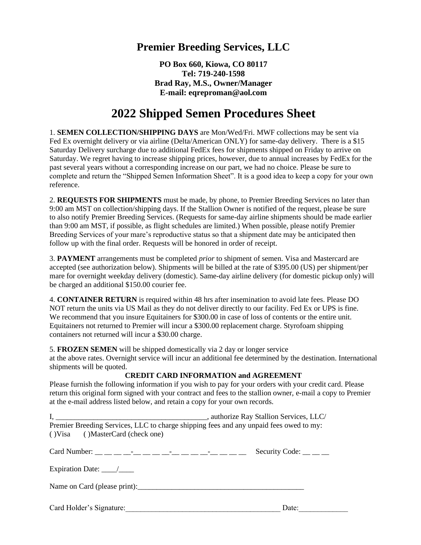### **Premier Breeding Services, LLC**

**PO Box 660, Kiowa, CO 80117 Tel: 719-240-1598 Brad Ray, M.S., Owner/Manager E-mail: eqreproman@aol.com**

# **2022 Shipped Semen Procedures Sheet**

1. **SEMEN COLLECTION/SHIPPING DAYS** are Mon/Wed/Fri. MWF collections may be sent via Fed Ex overnight delivery or via airline (Delta/American ONLY) for same-day delivery. There is a \$15 Saturday Delivery surcharge due to additional FedEx fees for shipments shipped on Friday to arrive on Saturday. We regret having to increase shipping prices, however, due to annual increases by FedEx for the past several years without a corresponding increase on our part, we had no choice. Please be sure to complete and return the "Shipped Semen Information Sheet". It is a good idea to keep a copy for your own reference.

2. **REQUESTS FOR SHIPMENTS** must be made, by phone, to Premier Breeding Services no later than 9:00 am MST on collection/shipping days. If the Stallion Owner is notified of the request, please be sure to also notify Premier Breeding Services. (Requests for same-day airline shipments should be made earlier than 9:00 am MST, if possible, as flight schedules are limited.) When possible, please notify Premier Breeding Services of your mare's reproductive status so that a shipment date may be anticipated then follow up with the final order. Requests will be honored in order of receipt.

3. **PAYMENT** arrangements must be completed *prior* to shipment of semen. Visa and Mastercard are accepted (see authorization below). Shipments will be billed at the rate of \$395.00 (US) per shipment/per mare for overnight weekday delivery (domestic). Same-day airline delivery (for domestic pickup only) will be charged an additional \$150.00 courier fee.

4. **CONTAINER RETURN** is required within 48 hrs after insemination to avoid late fees. Please DO NOT return the units via US Mail as they do not deliver directly to our facility. Fed Ex or UPS is fine. We recommend that you insure Equitainers for \$300.00 in case of loss of contents or the entire unit. Equitainers not returned to Premier will incur a \$300.00 replacement charge. Styrofoam shipping containers not returned will incur a \$30.00 charge.

5. **FROZEN SEMEN** will be shipped domestically via 2 day or longer service

at the above rates. Overnight service will incur an additional fee determined by the destination. International shipments will be quoted.

#### **CREDIT CARD INFORMATION and AGREEMENT**

Please furnish the following information if you wish to pay for your orders with your credit card. Please return this original form signed with your contract and fees to the stallion owner, e-mail a copy to Premier at the e-mail address listed below, and retain a copy for your own records.

| encommunication of the Stallion Services, LLC/                                                                            |                              |
|---------------------------------------------------------------------------------------------------------------------------|------------------------------|
| Premier Breeding Services, LLC to charge shipping fees and any unpaid fees owed to my:<br>()Visa ()MasterCard (check one) |                              |
|                                                                                                                           | Security Code: $\_\_$ $\_\_$ |
|                                                                                                                           |                              |
|                                                                                                                           |                              |
| Card Holder's Signature:                                                                                                  | Date:                        |